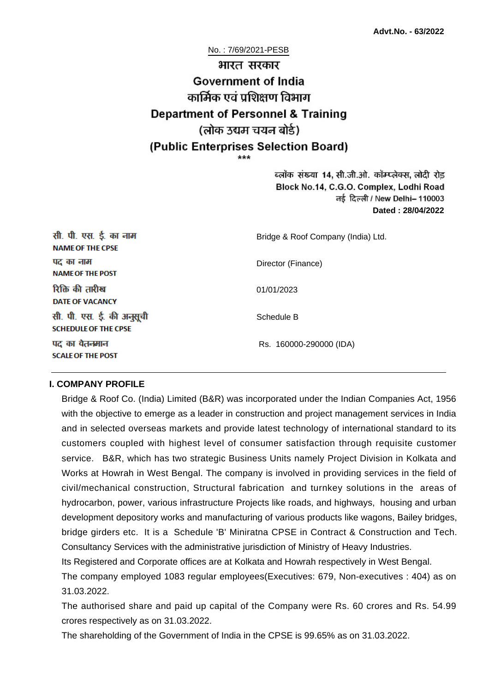No. : 7/69/2021-PESB

# भारत सरकार **Government of India** कार्मिक एवं पशिक्षण विभाग **Department of Personnel & Training** (लोक उद्यम चयन बोर्ड) (Public Enterprises Selection Board)

ब्लॉक संख्या 14, सी.जी.ओ. कॉम्प्लेक्स, लोदी रोड Block No.14, C.G.O. Complex, Lodhi Road ਰई दिल्ली / New Delhi– 110003 **Dated : 28/04/2022**

| सी. पी. एस. ई. का नाम<br><b>NAME OF THE CPSE</b>         | Bridge & Roof Company (India) Ltd. |
|----------------------------------------------------------|------------------------------------|
| पद का नाम<br><b>NAME OF THE POST</b>                     | Director (Finance)                 |
| रिक्ति की तारीख<br><b>DATE OF VACANCY</b>                | 01/01/2023                         |
| सी. पी. एस. ई. की अनुसूची<br><b>SCHEDULE OF THE CPSE</b> | Schedule B                         |
| पद का वेतनमान<br><b>SCALE OF THE POST</b>                | Rs. 160000-290000 (IDA)            |

#### **I. COMPANY PROFILE**

Bridge & Roof Co. (India) Limited (B&R) was incorporated under the Indian Companies Act, 1956 with the objective to emerge as a leader in construction and project management services in India and in selected overseas markets and provide latest technology of international standard to its customers coupled with highest level of consumer satisfaction through requisite customer service. B&R, which has two strategic Business Units namely Project Division in Kolkata and Works at Howrah in West Bengal. The company is involved in providing services in the field of civil/mechanical construction, Structural fabrication and turnkey solutions in the areas of hydrocarbon, power, various infrastructure Projects like roads, and highways, housing and urban development depository works and manufacturing of various products like wagons, Bailey bridges, bridge girders etc. It is a Schedule 'B' Miniratna CPSE in Contract & Construction and Tech. Consultancy Services with the administrative jurisdiction of Ministry of Heavy Industries.

Its Registered and Corporate offices are at Kolkata and Howrah respectively in West Bengal.

The company employed 1083 regular employees(Executives: 679, Non-executives : 404) as on 31.03.2022.

The authorised share and paid up capital of the Company were Rs. 60 crores and Rs. 54.99 crores respectively as on 31.03.2022.

The shareholding of the Government of India in the CPSE is 99.65% as on 31.03.2022.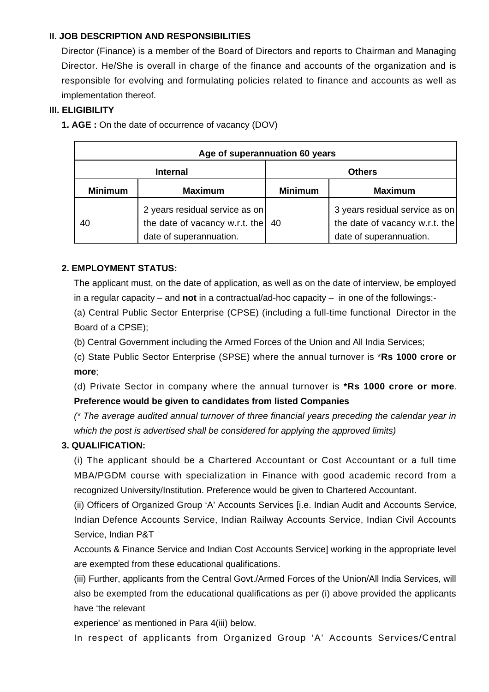### **II. JOB DESCRIPTION AND RESPONSIBILITIES**

Director (Finance) is a member of the Board of Directors and reports to Chairman and Managing Director. He/She is overall in charge of the finance and accounts of the organization and is responsible for evolving and formulating policies related to finance and accounts as well as implementation thereof.

### **III. ELIGIBILITY**

**1. AGE :** On the date of occurrence of vacancy (DOV)

| Age of superannuation 60 years |                                                                                             |                |                                                                                             |
|--------------------------------|---------------------------------------------------------------------------------------------|----------------|---------------------------------------------------------------------------------------------|
| <b>Internal</b>                |                                                                                             | <b>Others</b>  |                                                                                             |
| <b>Minimum</b>                 | <b>Maximum</b>                                                                              | <b>Minimum</b> | <b>Maximum</b>                                                                              |
| 40                             | 2 years residual service as on<br>the date of vacancy w.r.t. the<br>date of superannuation. | 40             | 3 years residual service as on<br>the date of vacancy w.r.t. the<br>date of superannuation. |

### **2. EMPLOYMENT STATUS:**

The applicant must, on the date of application, as well as on the date of interview, be employed in a regular capacity – and **not** in a contractual/ad-hoc capacity – in one of the followings:-

(a) Central Public Sector Enterprise (CPSE) (including a full-time functional Director in the Board of a CPSE);

(b) Central Government including the Armed Forces of the Union and All India Services;

(c) State Public Sector Enterprise (SPSE) where the annual turnover is \***Rs 1000 crore or more**;

(d) Private Sector in company where the annual turnover is **\*Rs 1000 crore or more**. **Preference would be given to candidates from listed Companies**

(\* The average audited annual turnover of three financial years preceding the calendar year in which the post is advertised shall be considered for applying the approved limits)

### **3. QUALIFICATION:**

(i) The applicant should be a Chartered Accountant or Cost Accountant or a full time MBA/PGDM course with specialization in Finance with good academic record from a recognized University/Institution. Preference would be given to Chartered Accountant.

(ii) Officers of Organized Group 'A' Accounts Services [i.e. Indian Audit and Accounts Service, Indian Defence Accounts Service, Indian Railway Accounts Service, Indian Civil Accounts Service, Indian P&T

Accounts & Finance Service and Indian Cost Accounts Service] working in the appropriate level are exempted from these educational qualifications.

(iii) Further, applicants from the Central Govt./Armed Forces of the Union/All India Services, will also be exempted from the educational qualifications as per (i) above provided the applicants have 'the relevant

experience' as mentioned in Para 4(iii) below.

In respect of applicants from Organized Group 'A' Accounts Services/Central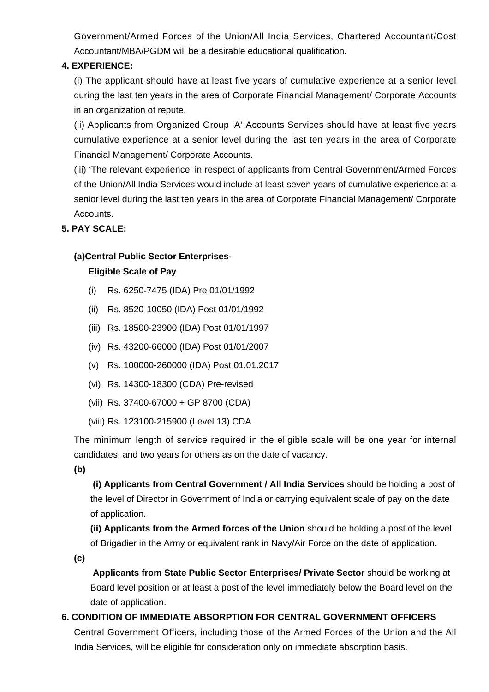Government/Armed Forces of the Union/All India Services, Chartered Accountant/Cost Accountant/MBA/PGDM will be a desirable educational qualification.

### **4. EXPERIENCE:**

(i) The applicant should have at least five years of cumulative experience at a senior level during the last ten years in the area of Corporate Financial Management/ Corporate Accounts in an organization of repute.

(ii) Applicants from Organized Group 'A' Accounts Services should have at least five years cumulative experience at a senior level during the last ten years in the area of Corporate Financial Management/ Corporate Accounts.

(iii) 'The relevant experience' in respect of applicants from Central Government/Armed Forces of the Union/All India Services would include at least seven years of cumulative experience at a senior level during the last ten years in the area of Corporate Financial Management/ Corporate Accounts.

### **5. PAY SCALE:**

### **(a)Central Public Sector Enterprises-**

#### **Eligible Scale of Pay**

- (i) Rs. 6250-7475 (IDA) Pre 01/01/1992
- (ii) Rs. 8520-10050 (IDA) Post 01/01/1992
- (iii) Rs. 18500-23900 (IDA) Post 01/01/1997
- (iv) Rs. 43200-66000 (IDA) Post 01/01/2007
- (v) Rs. 100000-260000 (IDA) Post 01.01.2017
- (vi) Rs. 14300-18300 (CDA) Pre-revised
- (vii) Rs. 37400-67000 + GP 8700 (CDA)
- (viii) Rs. 123100-215900 (Level 13) CDA

The minimum length of service required in the eligible scale will be one year for internal candidates, and two years for others as on the date of vacancy.

**(b)**

**(i) Applicants from Central Government / All India Services** should be holding a post of the level of Director in Government of India or carrying equivalent scale of pay on the date of application.

**(ii) Applicants from the Armed forces of the Union** should be holding a post of the level of Brigadier in the Army or equivalent rank in Navy/Air Force on the date of application.

**(c)**

 **Applicants from State Public Sector Enterprises/ Private Sector** should be working at Board level position or at least a post of the level immediately below the Board level on the date of application.

### **6. CONDITION OF IMMEDIATE ABSORPTION FOR CENTRAL GOVERNMENT OFFICERS**

Central Government Officers, including those of the Armed Forces of the Union and the All India Services, will be eligible for consideration only on immediate absorption basis.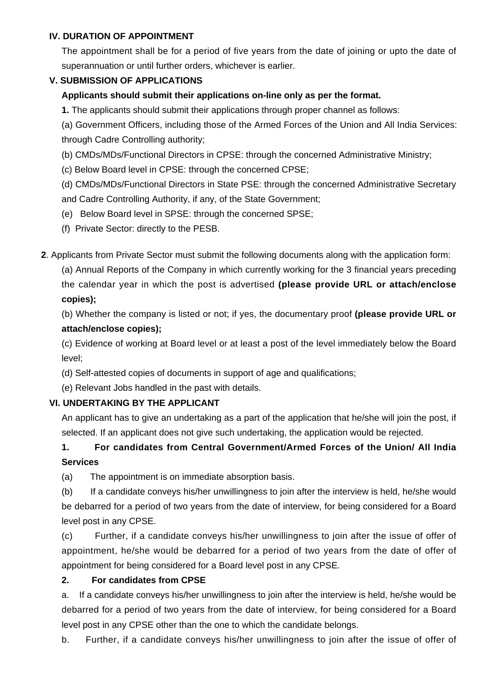### **IV. DURATION OF APPOINTMENT**

The appointment shall be for a period of five years from the date of joining or upto the date of superannuation or until further orders, whichever is earlier.

### **V. SUBMISSION OF APPLICATIONS**

### **Applicants should submit their applications on-line only as per the format.**

**1.** The applicants should submit their applications through proper channel as follows:

(a) Government Officers, including those of the Armed Forces of the Union and All India Services: through Cadre Controlling authority;

- (b) CMDs/MDs/Functional Directors in CPSE: through the concerned Administrative Ministry;
- (c) Below Board level in CPSE: through the concerned CPSE;

(d) CMDs/MDs/Functional Directors in State PSE: through the concerned Administrative Secretary and Cadre Controlling Authority, if any, of the State Government;

(e) Below Board level in SPSE: through the concerned SPSE;

(f) Private Sector: directly to the PESB.

**2**. Applicants from Private Sector must submit the following documents along with the application form:

(a) Annual Reports of the Company in which currently working for the 3 financial years preceding the calendar year in which the post is advertised **(please provide URL or attach/enclose copies);**

(b) Whether the company is listed or not; if yes, the documentary proof **(please provide URL or attach/enclose copies);**

(c) Evidence of working at Board level or at least a post of the level immediately below the Board level;

(d) Self-attested copies of documents in support of age and qualifications;

(e) Relevant Jobs handled in the past with details.

### **VI. UNDERTAKING BY THE APPLICANT**

An applicant has to give an undertaking as a part of the application that he/she will join the post, if selected. If an applicant does not give such undertaking, the application would be rejected.

## **1. For candidates from Central Government/Armed Forces of the Union/ All India Services**

(a) The appointment is on immediate absorption basis.

(b) If a candidate conveys his/her unwillingness to join after the interview is held, he/she would be debarred for a period of two years from the date of interview, for being considered for a Board level post in any CPSE.

(c) Further, if a candidate conveys his/her unwillingness to join after the issue of offer of appointment, he/she would be debarred for a period of two years from the date of offer of appointment for being considered for a Board level post in any CPSE.

### **2. For candidates from CPSE**

a. If a candidate conveys his/her unwillingness to join after the interview is held, he/she would be debarred for a period of two years from the date of interview, for being considered for a Board level post in any CPSE other than the one to which the candidate belongs.

b. Further, if a candidate conveys his/her unwillingness to join after the issue of offer of